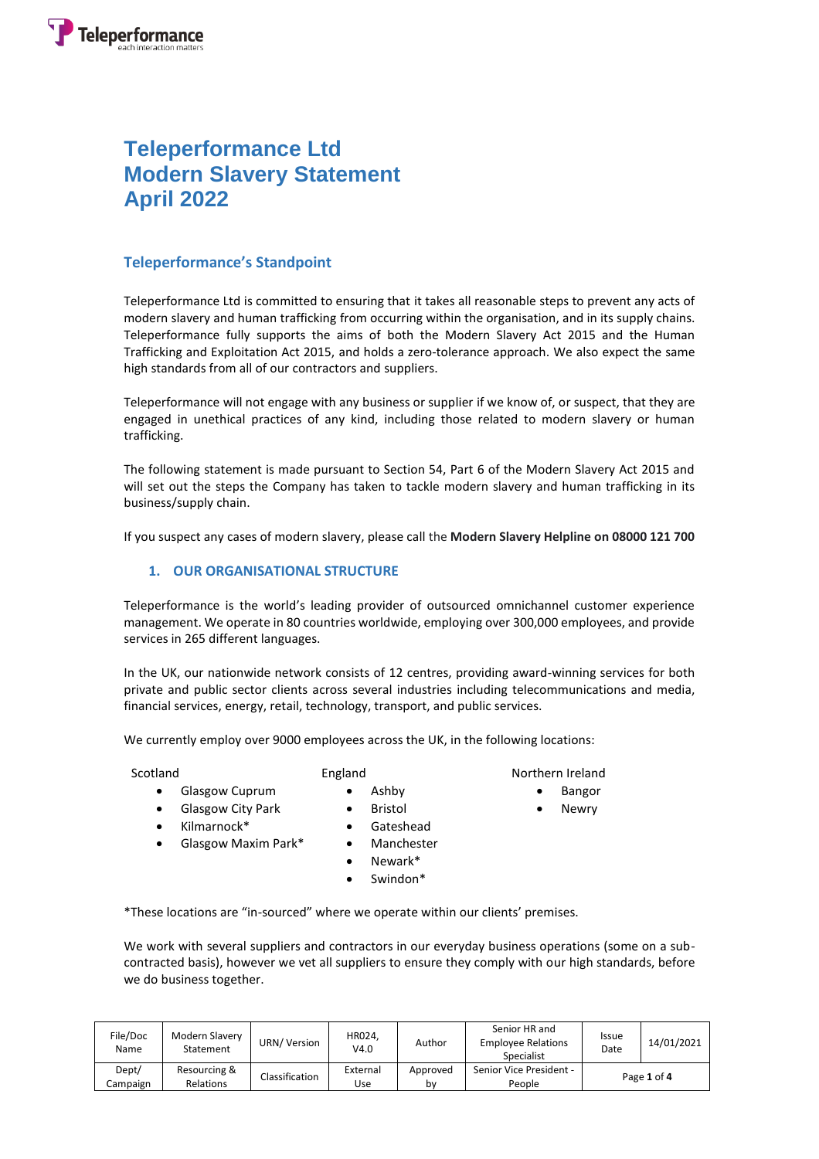# **Teleperformance Ltd Modern Slavery Statement April 2022**

## **Teleperformance's Standpoint**

Teleperformance Ltd is committed to ensuring that it takes all reasonable steps to prevent any acts of modern slavery and human trafficking from occurring within the organisation, and in its supply chains. Teleperformance fully supports the aims of both the Modern Slavery Act 2015 and the Human Trafficking and Exploitation Act 2015, and holds a zero-tolerance approach. We also expect the same high standards from all of our contractors and suppliers.

Teleperformance will not engage with any business or supplier if we know of, or suspect, that they are engaged in unethical practices of any kind, including those related to modern slavery or human trafficking.

The following statement is made pursuant to Section 54, Part 6 of the Modern Slavery Act 2015 and will set out the steps the Company has taken to tackle modern slavery and human trafficking in its business/supply chain.

If you suspect any cases of modern slavery, please call the **Modern Slavery Helpline on 08000 121 700**

### **1. OUR ORGANISATIONAL STRUCTURE**

Teleperformance is the world's leading provider of outsourced omnichannel customer experience management. We operate in 80 countries worldwide, employing over 300,000 employees, and provide services in 265 different languages.

In the UK, our nationwide network consists of 12 centres, providing award-winning services for both private and public sector clients across several industries including telecommunications and media, financial services, energy, retail, technology, transport, and public services.

We currently employ over 9000 employees across the UK, in the following locations:

- **•** Glasgow Cuprum
	- Glasgow City Park
- Kilmarnock\*
- Glasgow Maxim Park\*
- Gateshead • Manchester

• Ashby • Bristol

- Newark\*
- Swindon\*

\*These locations are "in-sourced" where we operate within our clients' premises.

We work with several suppliers and contractors in our everyday business operations (some on a subcontracted basis), however we vet all suppliers to ensure they comply with our high standards, before we do business together.

| File/Doc<br>Name  | Modern Slavery<br>Statement | URN/Version    | HR024.<br>V4.0  | Author         | Senior HR and<br><b>Employee Relations</b><br>Specialist | <b>Issue</b><br>Date | 14/01/2021 |
|-------------------|-----------------------------|----------------|-----------------|----------------|----------------------------------------------------------|----------------------|------------|
| Dept/<br>Campaign | Resourcing &<br>Relations   | Classification | External<br>Use | Approved<br>bv | Senior Vice President -<br>People                        | Page 1 of 4          |            |

# Scotland England England Northern Ireland

- Bangor
- 
- Newry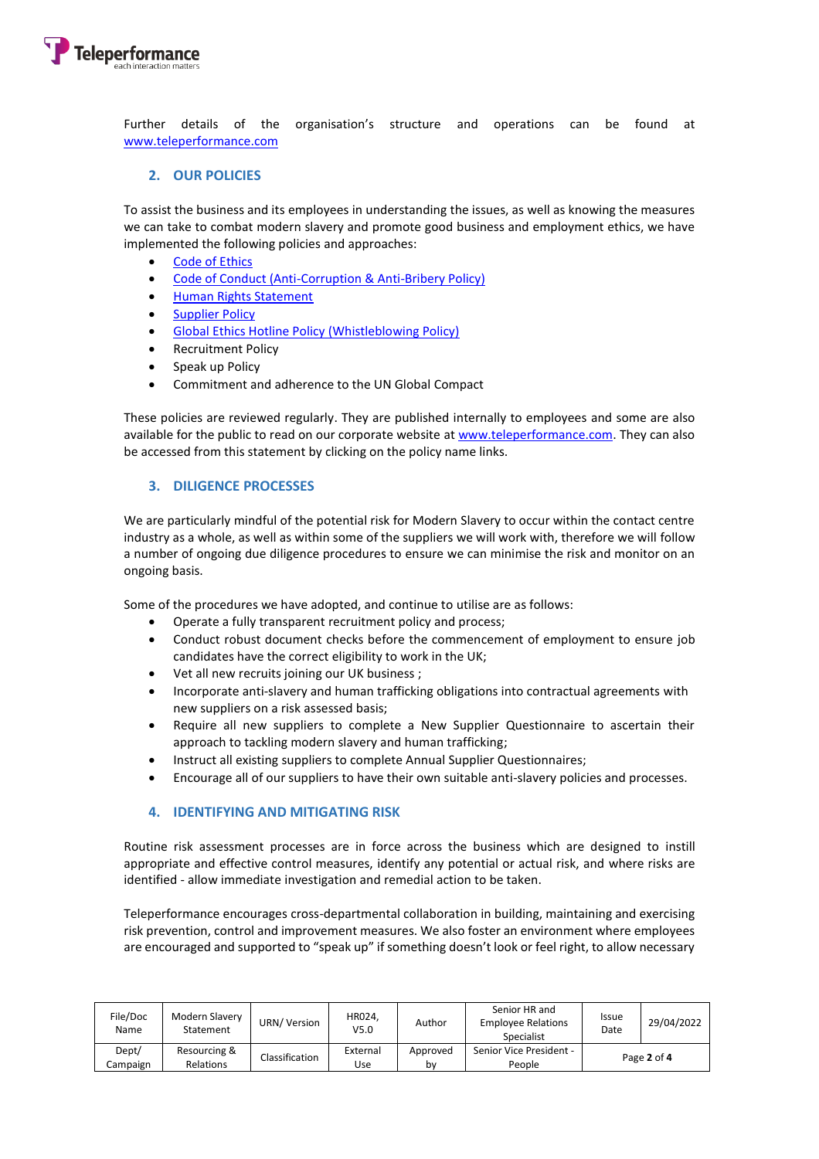

Further details of the organisation's structure and operations can be found at [www.teleperformance.com](http://www.teleperformance.com/)

#### **2. OUR POLICIES**

To assist the business and its employees in understanding the issues, as well as knowing the measures we can take to combat modern slavery and promote good business and employment ethics, we have implemented the following policies and approaches:

- [Code of Ethics](http://uk.www.teleperformance.com/en-us/codes-and-policies/code-of-ethics)
- [Code of Conduct \(Anti-Corruption & Anti-Bribery Policy\)](http://uk.www.teleperformance.com/en-us/codes-and-policies/code-of-conduct)
- [Human Rights Statement](http://uk.www.teleperformance.com/en-us/codes-and-policies/human-rights-statement)
- [Supplier Policy](http://uk.www.teleperformance.com/en-us/codes-and-policies/supplier-policy)
- [Global Ethics Hotline Policy \(Whistleblowing Policy\)](http://uk.www.teleperformance.com/media/4547460/global-policy-may-2018-tp-global-ethics-hotline-policy-en-nb.pdf)
- Recruitment Policy
- Speak up Policy
- Commitment and adherence to the UN Global Compact

These policies are reviewed regularly. They are published internally to employees and some are also available for the public to read on our corporate website at [www.teleperformance.com.](http://www.teleperformance.com/) They can also be accessed from this statement by clicking on the policy name links.

#### **3. DILIGENCE PROCESSES**

We are particularly mindful of the potential risk for Modern Slavery to occur within the contact centre industry as a whole, as well as within some of the suppliers we will work with, therefore we will follow a number of ongoing due diligence procedures to ensure we can minimise the risk and monitor on an ongoing basis.

Some of the procedures we have adopted, and continue to utilise are as follows:

- Operate a fully transparent recruitment policy and process;
- Conduct robust document checks before the commencement of employment to ensure job candidates have the correct eligibility to work in the UK;
- Vet all new recruits joining our UK business ;
- Incorporate anti-slavery and human trafficking obligations into contractual agreements with new suppliers on a risk assessed basis;
- Require all new suppliers to complete a New Supplier Questionnaire to ascertain their approach to tackling modern slavery and human trafficking;
- Instruct all existing suppliers to complete Annual Supplier Questionnaires;
- Encourage all of our suppliers to have their own suitable anti-slavery policies and processes.

#### **4. IDENTIFYING AND MITIGATING RISK**

Routine risk assessment processes are in force across the business which are designed to instill appropriate and effective control measures, identify any potential or actual risk, and where risks are identified - allow immediate investigation and remedial action to be taken.

Teleperformance encourages cross-departmental collaboration in building, maintaining and exercising risk prevention, control and improvement measures. We also foster an environment where employees are encouraged and supported to "speak up" if something doesn't look or feel right, to allow necessary

| File/Doc<br>Name | Modern Slavery<br>Statement | URN/ Version   | HR024.<br>V5.0 | Author   | Senior HR and<br><b>Employee Relations</b><br>Specialist | <b>Issue</b><br>Date | 29/04/2022 |
|------------------|-----------------------------|----------------|----------------|----------|----------------------------------------------------------|----------------------|------------|
| Dept/            | Resourcing &                | Classification | External       | Approved | Senior Vice President -                                  | Page 2 of 4          |            |
| Campaign         | Relations                   |                | Use            | bv       | People                                                   |                      |            |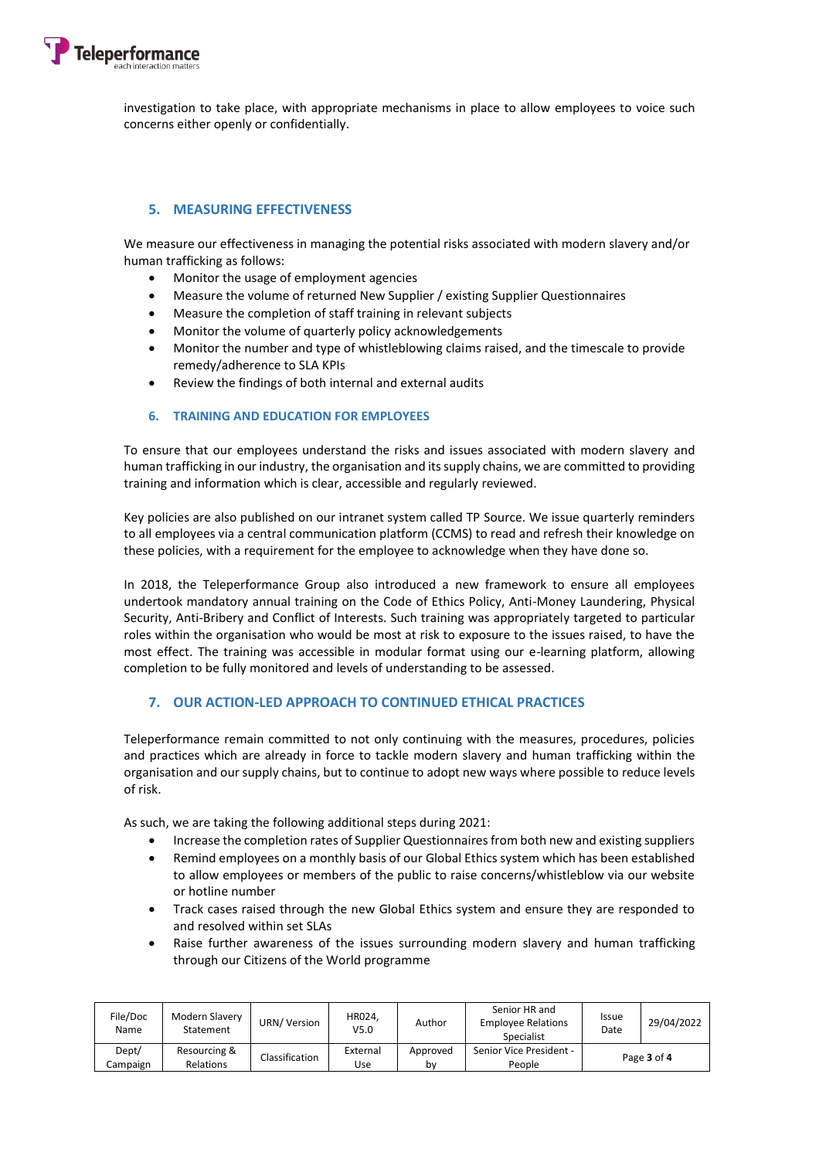

investigation to take place, with appropriate mechanisms in place to allow employees to voice such concerns either openly or confidentially.

#### **5. MEASURING EFFECTIVENESS**

We measure our effectiveness in managing the potential risks associated with modern slavery and/or human trafficking as follows:

- Monitor the usage of employment agencies
- Measure the volume of returned New Supplier / existing Supplier Questionnaires
- Measure the completion of staff training in relevant subjects
- Monitor the volume of quarterly policy acknowledgements
- Monitor the number and type of whistleblowing claims raised, and the timescale to provide remedy/adherence to SLA KPIs
- Review the findings of both internal and external audits

#### **6. TRAINING AND EDUCATION FOR EMPLOYEES**

To ensure that our employees understand the risks and issues associated with modern slavery and human trafficking in our industry, the organisation and its supply chains, we are committed to providing training and information which is clear, accessible and regularly reviewed.

Key policies are also published on our intranet system called TP Source. We issue quarterly reminders to all employees via a central communication platform (CCMS) to read and refresh their knowledge on these policies, with a requirement for the employee to acknowledge when they have done so.

In 2018, the Teleperformance Group also introduced a new framework to ensure all employees undertook mandatory annual training on the Code of Ethics Policy, Anti-Money Laundering, Physical Security, Anti-Bribery and Conflict of Interests. Such training was appropriately targeted to particular roles within the organisation who would be most at risk to exposure to the issues raised, to have the most effect. The training was accessible in modular format using our e-learning platform, allowing completion to be fully monitored and levels of understanding to be assessed.

#### **7. OUR ACTION-LED APPROACH TO CONTINUED ETHICAL PRACTICES**

Teleperformance remain committed to not only continuing with the measures, procedures, policies and practices which are already in force to tackle modern slavery and human trafficking within the organisation and our supply chains, but to continue to adopt new ways where possible to reduce levels of risk.

As such, we are taking the following additional steps during 2021:

- Increase the completion rates of Supplier Questionnaires from both new and existing suppliers
- Remind employees on a monthly basis of our Global Ethics system which has been established to allow employees or members of the public to raise concerns/whistleblow via our website or hotline number
- Track cases raised through the new Global Ethics system and ensure they are responded to and resolved within set SLAs
- Raise further awareness of the issues surrounding modern slavery and human trafficking through our Citizens of the World programme

| File/Doc<br>Name | Modern Slavery<br>Statement | URN/Version    | HR024.<br>V <sub>5.0</sub> | Author   | Senior HR and<br><b>Employee Relations</b><br>Specialist | <b>Issue</b><br>Date | 29/04/2022 |
|------------------|-----------------------------|----------------|----------------------------|----------|----------------------------------------------------------|----------------------|------------|
| Dept/            | Resourcing &                | Classification | External                   | Approved | Senior Vice President -                                  | Page 3 of 4          |            |
| Campaign         | Relations                   |                | Use                        | bv       | People                                                   |                      |            |